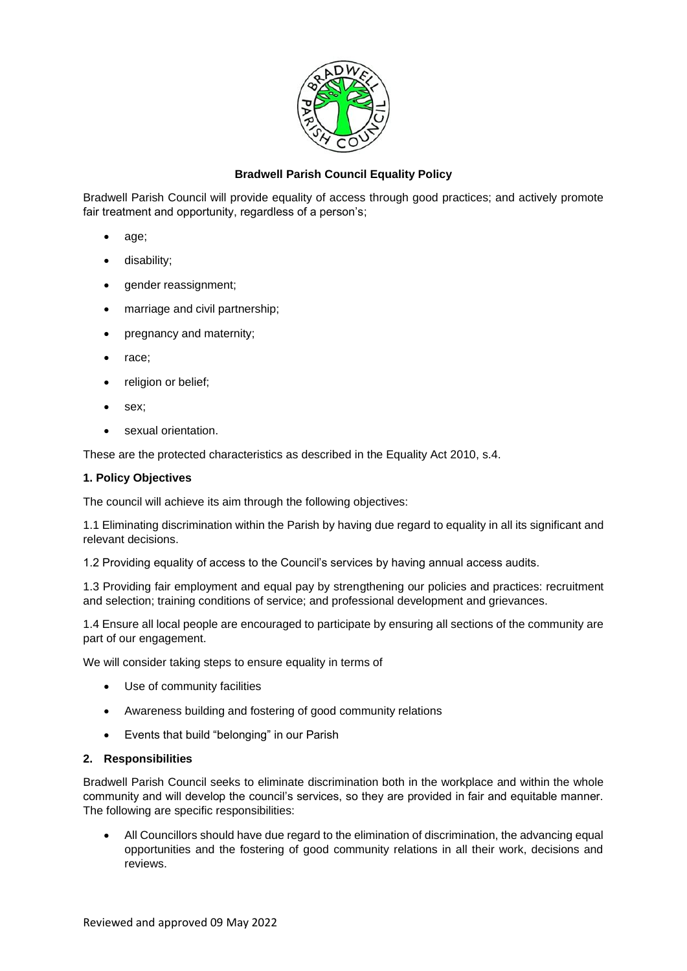

## **Bradwell Parish Council Equality Policy**

Bradwell Parish Council will provide equality of access through good practices; and actively promote fair treatment and opportunity, regardless of a person's;

- age;
- disability;
- gender reassignment;
- marriage and civil partnership;
- pregnancy and maternity;
- race;
- religion or belief:
- sex;
- sexual orientation.

These are the protected characteristics as described in the Equality Act 2010, s.4.

## **1. Policy Objectives**

The council will achieve its aim through the following objectives:

1.1 Eliminating discrimination within the Parish by having due regard to equality in all its significant and relevant decisions.

1.2 Providing equality of access to the Council's services by having annual access audits.

1.3 Providing fair employment and equal pay by strengthening our policies and practices: recruitment and selection; training conditions of service; and professional development and grievances.

1.4 Ensure all local people are encouraged to participate by ensuring all sections of the community are part of our engagement.

We will consider taking steps to ensure equality in terms of

- Use of community facilities
- Awareness building and fostering of good community relations
- Events that build "belonging" in our Parish

## **2. Responsibilities**

Bradwell Parish Council seeks to eliminate discrimination both in the workplace and within the whole community and will develop the council's services, so they are provided in fair and equitable manner. The following are specific responsibilities:

• All Councillors should have due regard to the elimination of discrimination, the advancing equal opportunities and the fostering of good community relations in all their work, decisions and reviews.